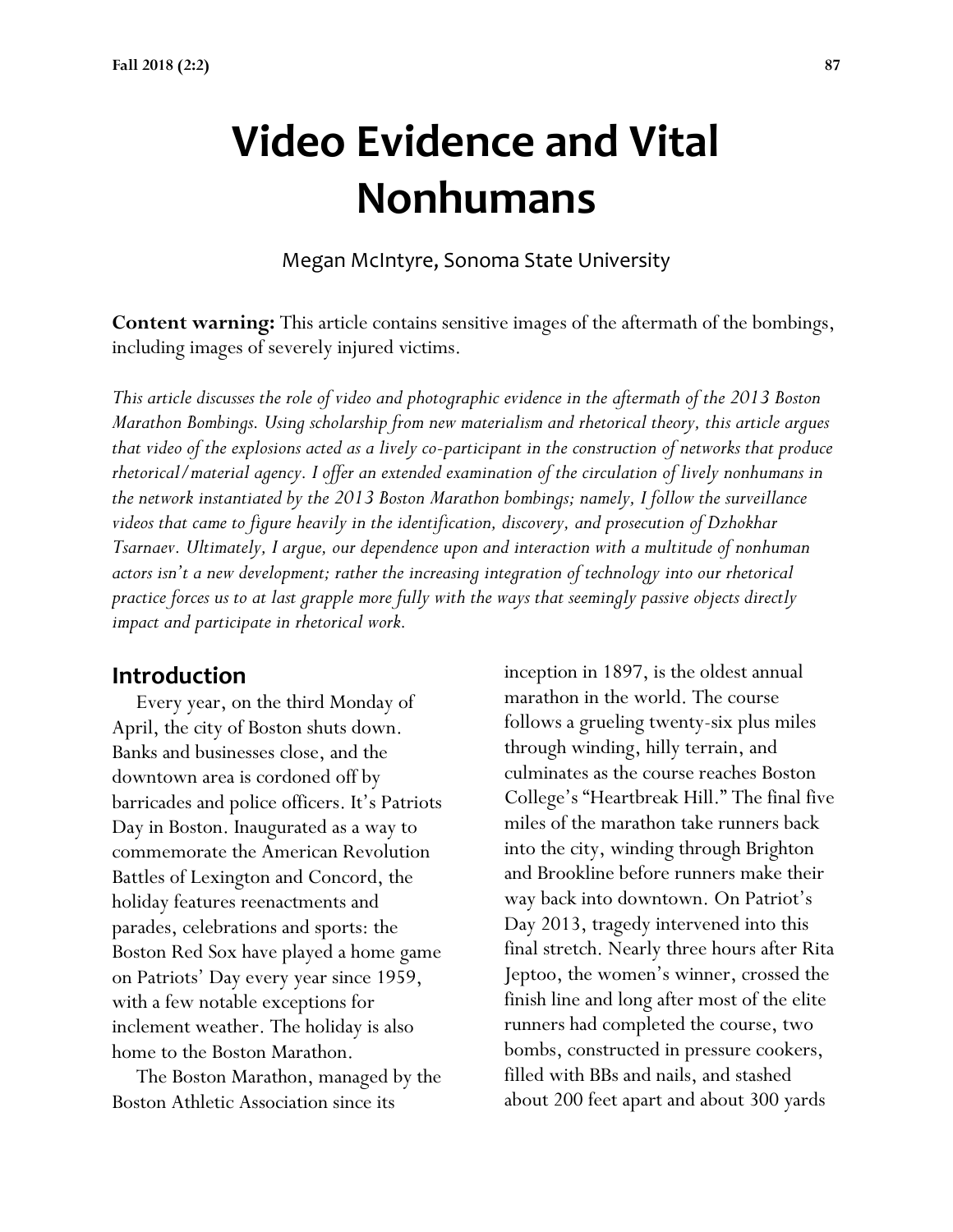# **Video Evidence and Vital Nonhumans**

Megan McIntyre, Sonoma State University

**Content warning:** This article contains sensitive images of the aftermath of the bombings, including images of severely injured victims.

*This article discusses the role of video and photographic evidence in the aftermath of the 2013 Boston Marathon Bombings. Using scholarship from new materialism and rhetorical theory, this article argues that video of the explosions acted as a lively co-participant in the construction of networks that produce rhetorical/material agency. I offer an extended examination of the circulation of lively nonhumans in the network instantiated by the 2013 Boston Marathon bombings; namely, I follow the surveillance videos that came to figure heavily in the identification, discovery, and prosecution of Dzhokhar Tsarnaev. Ultimately, I argue, our dependence upon and interaction with a multitude of nonhuman actors isn't a new development; rather the increasing integration of technology into our rhetorical practice forces us to at last grapple more fully with the ways that seemingly passive objects directly impact and participate in rhetorical work.*

# **Introduction**

 Every year, on the third Monday of April, the city of Boston shuts down. Banks and businesses close, and the downtown area is cordoned off by barricades and police officers. It's Patriots Day in Boston. Inaugurated as a way to commemorate the American Revolution Battles of Lexington and Concord, the holiday features reenactments and parades, celebrations and sports: the Boston Red Sox have played a home game on Patriots' Day every year since 1959, with a few notable exceptions for inclement weather. The holiday is also home to the Boston Marathon.

 The Boston Marathon, managed by the Boston Athletic Association since its

inception in 1897, is the oldest annual marathon in the world. The course follows a grueling twenty-six plus miles through winding, hilly terrain, and culminates as the course reaches Boston College's "Heartbreak Hill." The final five miles of the marathon take runners back into the city, winding through Brighton and Brookline before runners make their way back into downtown. On Patriot's Day 2013, tragedy intervened into this final stretch. Nearly three hours after Rita Jeptoo, the women's winner, crossed the finish line and long after most of the elite runners had completed the course, two bombs, constructed in pressure cookers, filled with BBs and nails, and stashed about 200 feet apart and about 300 yards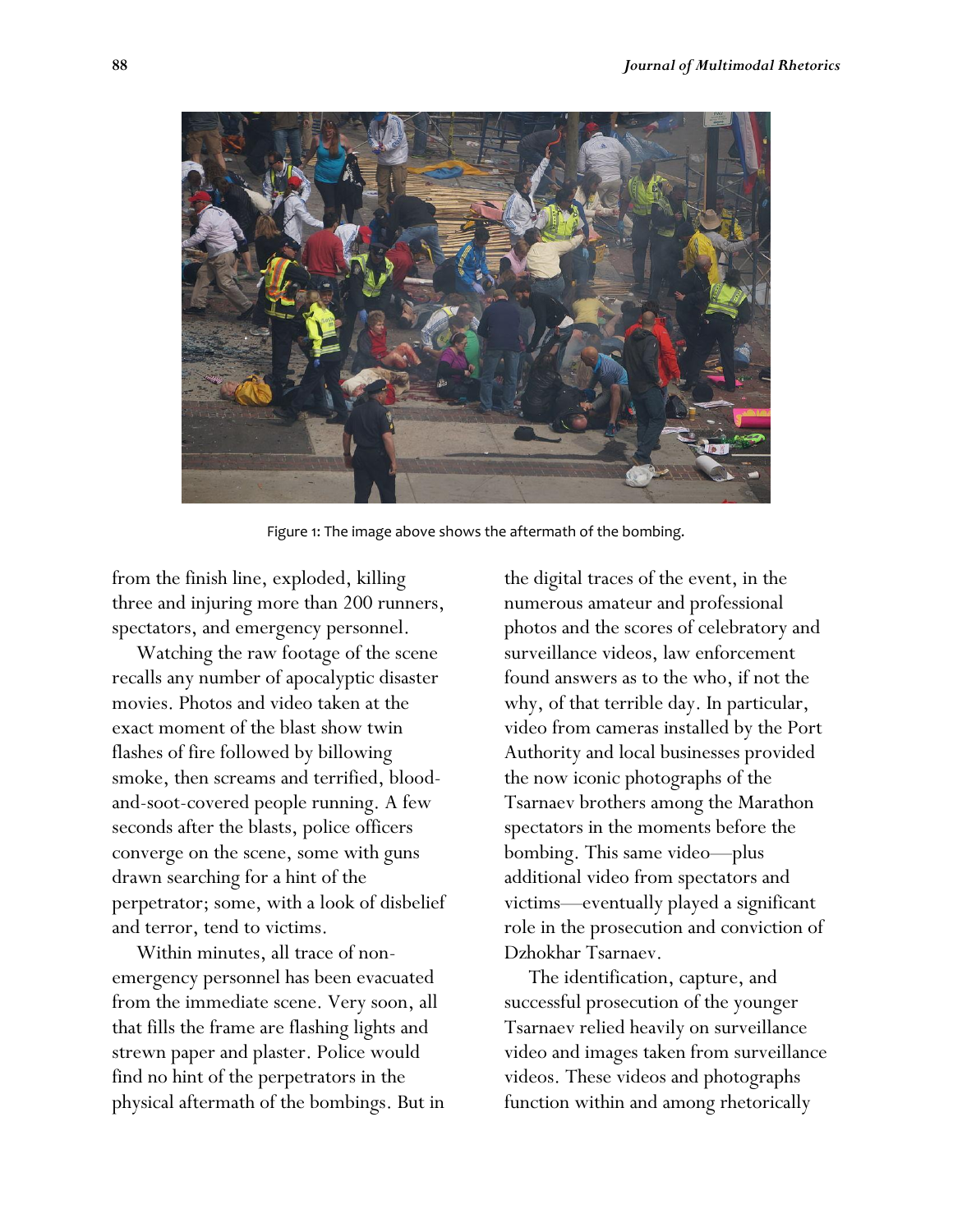

Figure 1: The image above shows the aftermath of the bombing.

from the finish line, exploded, killing three and injuring more than 200 runners, spectators, and emergency personnel.

 Watching the raw footage of the scene recalls any number of apocalyptic disaster movies. Photos and video taken at the exact moment of the blast show twin flashes of fire followed by billowing smoke, then screams and terrified, bloodand-soot-covered people running. A few seconds after the blasts, police officers converge on the scene, some with guns drawn searching for a hint of the perpetrator; some, with a look of disbelief and terror, tend to victims.

 Within minutes, all trace of nonemergency personnel has been evacuated from the immediate scene. Very soon, all that fills the frame are flashing lights and strewn paper and plaster. Police would find no hint of the perpetrators in the physical aftermath of the bombings. But in the digital traces of the event, in the numerous amateur and professional photos and the scores of celebratory and surveillance videos, law enforcement found answers as to the who, if not the why, of that terrible day. In particular, video from cameras installed by the Port Authority and local businesses provided the now iconic photographs of the Tsarnaev brothers among the Marathon spectators in the moments before the bombing. This same video—plus additional video from spectators and victims—eventually played a significant role in the prosecution and conviction of Dzhokhar Tsarnaev.

 The identification, capture, and successful prosecution of the younger Tsarnaev relied heavily on surveillance video and images taken from surveillance videos. These videos and photographs function within and among rhetorically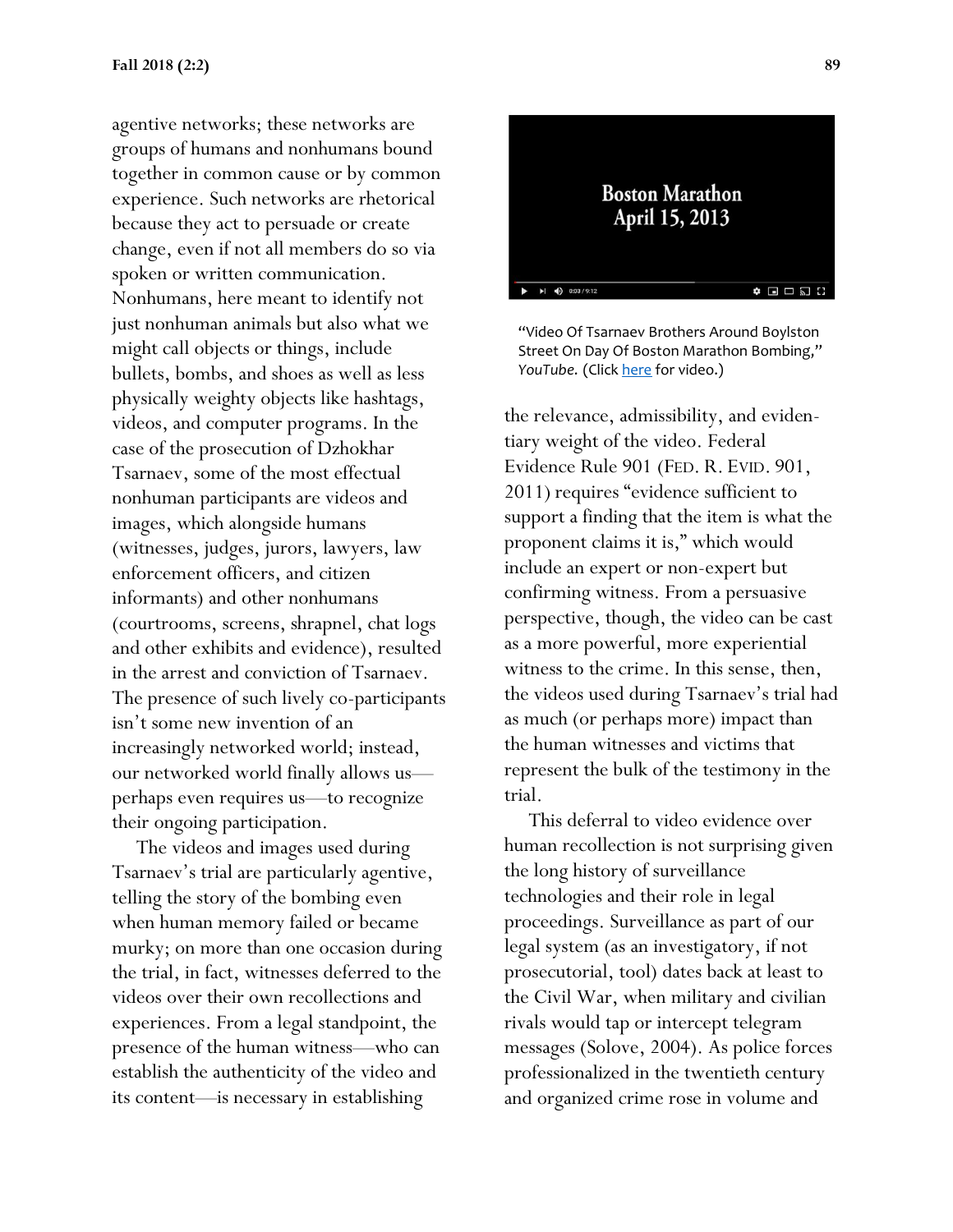agentive networks; these networks are groups of humans and nonhumans bound together in common cause or by common experience. Such networks are rhetorical because they act to persuade or create change, even if not all members do so via spoken or written communication. Nonhumans, here meant to identify not just nonhuman animals but also what we might call objects or things, include bullets, bombs, and shoes as well as less physically weighty objects like hashtags, videos, and computer programs. In the case of the prosecution of Dzhokhar Tsarnaev, some of the most effectual nonhuman participants are videos and images, which alongside humans (witnesses, judges, jurors, lawyers, law enforcement officers, and citizen informants) and other nonhumans (courtrooms, screens, shrapnel, chat logs and other exhibits and evidence), resulted in the arrest and conviction of Tsarnaev. The presence of such lively co-participants isn't some new invention of an increasingly networked world; instead, our networked world finally allows us perhaps even requires us—to recognize their ongoing participation.

 The videos and images used during Tsarnaev's trial are particularly agentive, telling the story of the bombing even when human memory failed or became murky; on more than one occasion during the trial, in fact, witnesses deferred to the videos over their own recollections and experiences. From a legal standpoint, the presence of the human witness—who can establish the authenticity of the video and its content—is necessary in establishing

# **Boston Marathon** April 15, 2013  $\blacktriangleright$ |  $\blacktriangleleft$   $\blacklozenge$  0:03 / 9:12  $\bullet\ \blacksquare\ \square\ \square\ \square$

"Video Of Tsarnaev Brothers Around Boylston Street On Day Of Boston Marathon Bombing," *YouTube*. (Click [here](https://www.youtube.com/watch?v=HqaGJ50Cz7o) for video.)

the relevance, admissibility, and evidentiary weight of the video. Federal Evidence Rule 901 (FED. R. EVID. 901, 2011) requires "evidence sufficient to support a finding that the item is what the proponent claims it is," which would include an expert or non-expert but confirming witness. From a persuasive perspective, though, the video can be cast as a more powerful, more experiential witness to the crime. In this sense, then, the videos used during Tsarnaev's trial had as much (or perhaps more) impact than the human witnesses and victims that represent the bulk of the testimony in the trial.

 This deferral to video evidence over human recollection is not surprising given the long history of surveillance technologies and their role in legal proceedings. Surveillance as part of our legal system (as an investigatory, if not prosecutorial, tool) dates back at least to the Civil War, when military and civilian rivals would tap or intercept telegram messages (Solove, 2004). As police forces professionalized in the twentieth century and organized crime rose in volume and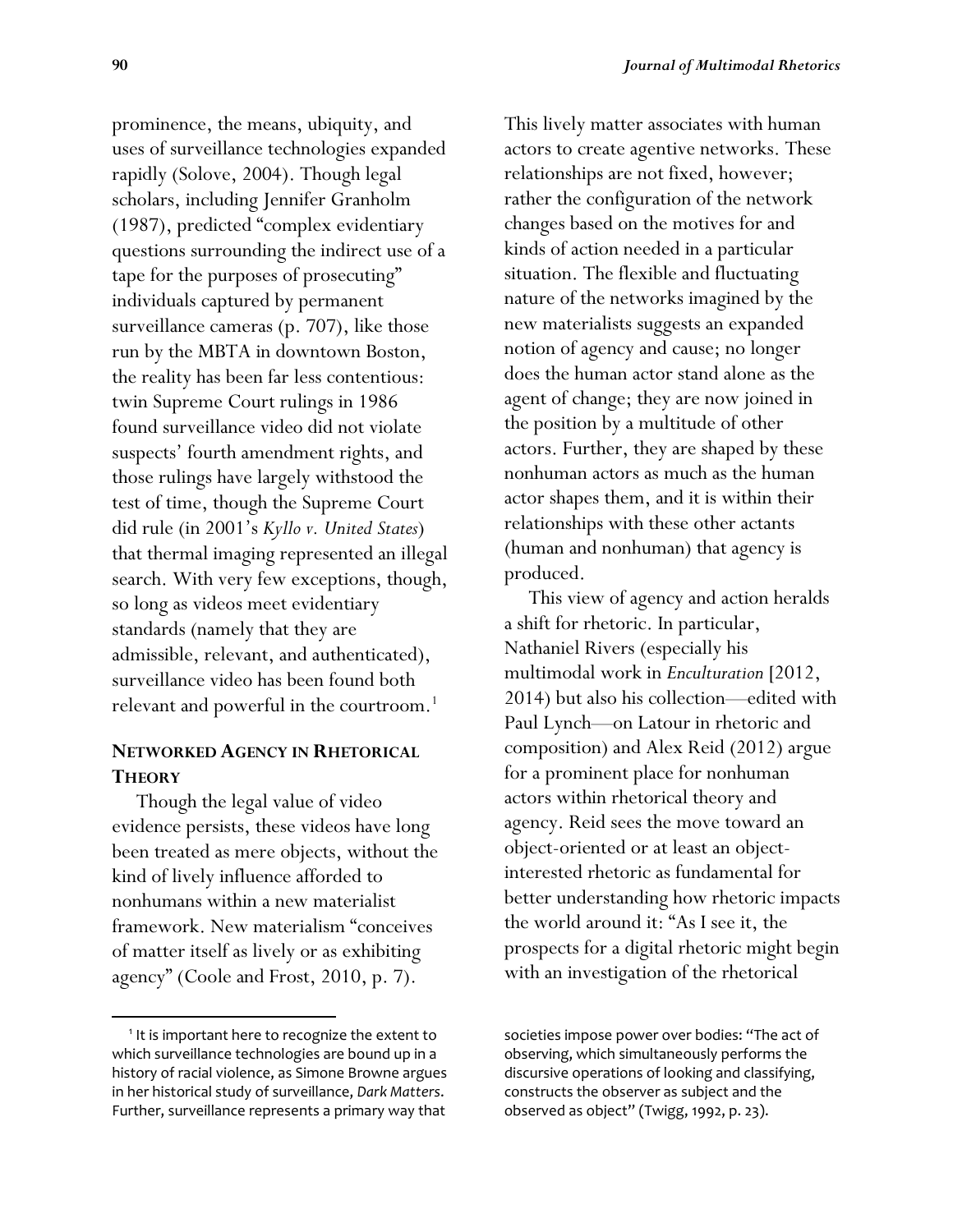prominence, the means, ubiquity, and uses of surveillance technologies expanded rapidly (Solove, 2004). Though legal scholars, including Jennifer Granholm (1987), predicted "complex evidentiary questions surrounding the indirect use of a tape for the purposes of prosecuting" individuals captured by permanent surveillance cameras (p. 707), like those run by the MBTA in downtown Boston, the reality has been far less contentious: twin Supreme Court rulings in 1986 found surveillance video did not violate suspects' fourth amendment rights, and those rulings have largely withstood the test of time, though the Supreme Court did rule (in 2001's *Kyllo v. United States*) that thermal imaging represented an illegal search. With very few exceptions, though, so long as videos meet evidentiary standards (namely that they are admissible, relevant, and authenticated), surveillance video has been found both relevant and powerful in the courtroom.<sup>1</sup>

#### **NETWORKED AGENCY IN RHETORICAL THEORY**

 Though the legal value of video evidence persists, these videos have long been treated as mere objects, without the kind of lively influence afforded to nonhumans within a new materialist framework. New materialism "conceives of matter itself as lively or as exhibiting agency" (Coole and Frost, 2010, p. 7).

 $\overline{\phantom{a}}$ 

This lively matter associates with human actors to create agentive networks. These relationships are not fixed, however; rather the configuration of the network changes based on the motives for and kinds of action needed in a particular situation. The flexible and fluctuating nature of the networks imagined by the new materialists suggests an expanded notion of agency and cause; no longer does the human actor stand alone as the agent of change; they are now joined in the position by a multitude of other actors. Further, they are shaped by these nonhuman actors as much as the human actor shapes them, and it is within their relationships with these other actants (human and nonhuman) that agency is produced.

 This view of agency and action heralds a shift for rhetoric. In particular, Nathaniel Rivers (especially his multimodal work in *Enculturation* [2012, 2014) but also his collection—edited with Paul Lynch—on Latour in rhetoric and composition) and Alex Reid (2012) argue for a prominent place for nonhuman actors within rhetorical theory and agency. Reid sees the move toward an object-oriented or at least an objectinterested rhetoric as fundamental for better understanding how rhetoric impacts the world around it: "As I see it, the prospects for a digital rhetoric might begin with an investigation of the rhetorical

societies impose power over bodies: "The act of observing, which simultaneously performs the discursive operations of looking and classifying, constructs the observer as subject and the observed as object" (Twigg, 1992, p. 23).

<sup>&</sup>lt;sup>1</sup> It is important here to recognize the extent to which surveillance technologies are bound up in a history of racial violence, as Simone Browne argues in her historical study of surveillance, *Dark Matters*. Further, surveillance represents a primary way that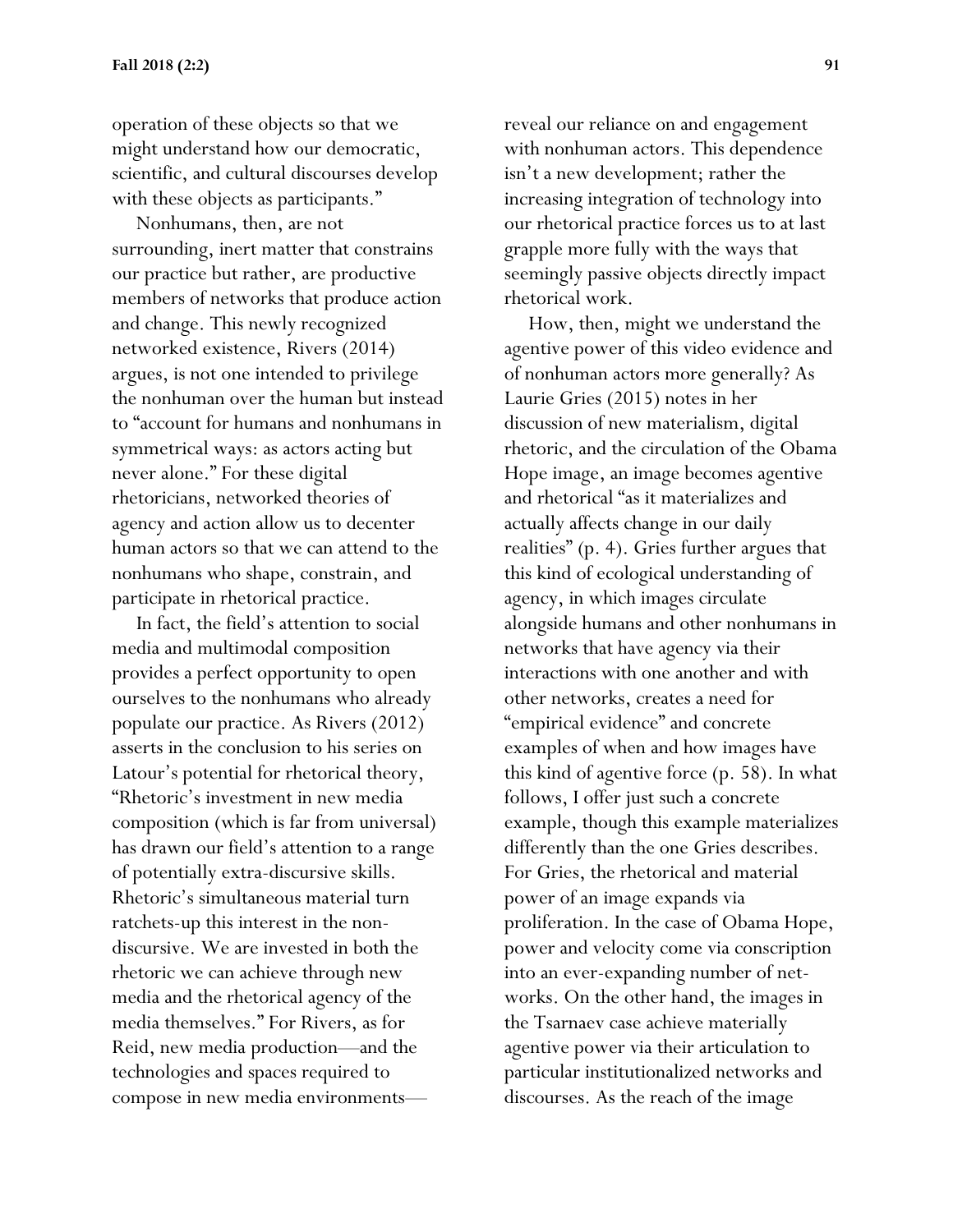operation of these objects so that we might understand how our democratic, scientific, and cultural discourses develop with these objects as participants."

 Nonhumans, then, are not surrounding, inert matter that constrains our practice but rather, are productive members of networks that produce action and change. This newly recognized networked existence, Rivers (2014) argues, is not one intended to privilege the nonhuman over the human but instead to "account for humans and nonhumans in symmetrical ways: as actors acting but never alone." For these digital rhetoricians, networked theories of agency and action allow us to decenter human actors so that we can attend to the nonhumans who shape, constrain, and participate in rhetorical practice.

 In fact, the field's attention to social media and multimodal composition provides a perfect opportunity to open ourselves to the nonhumans who already populate our practice. As Rivers (2012) asserts in the conclusion to his series on Latour's potential for rhetorical theory, "Rhetoric's investment in new media composition (which is far from universal) has drawn our field's attention to a range of potentially extra-discursive skills. Rhetoric's simultaneous material turn ratchets-up this interest in the nondiscursive. We are invested in both the rhetoric we can achieve through new media and the rhetorical agency of the media themselves." For Rivers, as for Reid, new media production—and the technologies and spaces required to compose in new media environments—

reveal our reliance on and engagement with nonhuman actors. This dependence isn't a new development; rather the increasing integration of technology into our rhetorical practice forces us to at last grapple more fully with the ways that seemingly passive objects directly impact rhetorical work.

 How, then, might we understand the agentive power of this video evidence and of nonhuman actors more generally? As Laurie Gries (2015) notes in her discussion of new materialism, digital rhetoric, and the circulation of the Obama Hope image, an image becomes agentive and rhetorical "as it materializes and actually affects change in our daily realities" (p. 4). Gries further argues that this kind of ecological understanding of agency, in which images circulate alongside humans and other nonhumans in networks that have agency via their interactions with one another and with other networks, creates a need for "empirical evidence" and concrete examples of when and how images have this kind of agentive force (p. 58). In what follows, I offer just such a concrete example, though this example materializes differently than the one Gries describes. For Gries, the rhetorical and material power of an image expands via proliferation. In the case of Obama Hope, power and velocity come via conscription into an ever-expanding number of networks. On the other hand, the images in the Tsarnaev case achieve materially agentive power via their articulation to particular institutionalized networks and discourses. As the reach of the image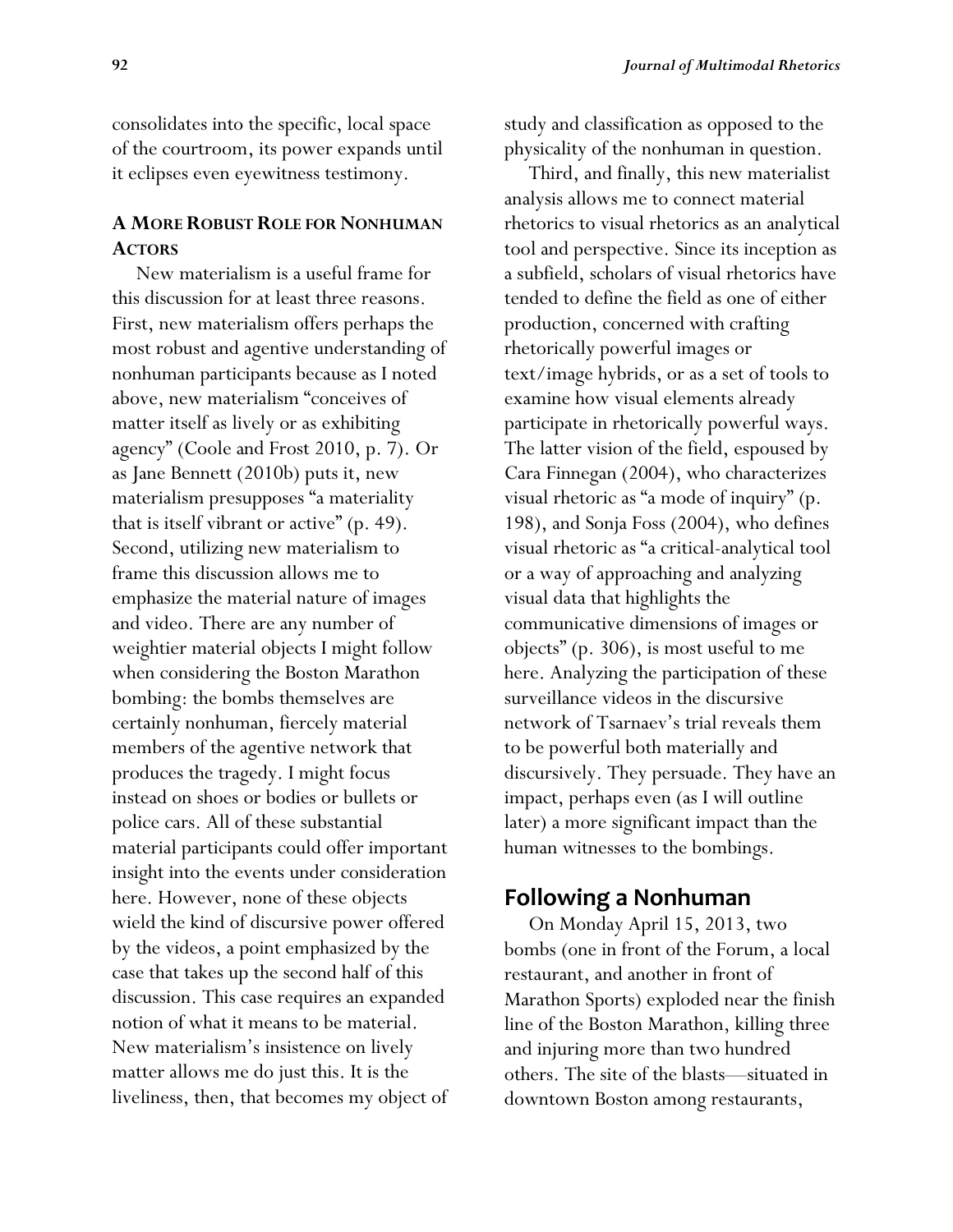consolidates into the specific, local space of the courtroom, its power expands until it eclipses even eyewitness testimony.

#### **A MORE ROBUST ROLE FOR NONHUMAN ACTORS**

 New materialism is a useful frame for this discussion for at least three reasons. First, new materialism offers perhaps the most robust and agentive understanding of nonhuman participants because as I noted above, new materialism "conceives of matter itself as lively or as exhibiting agency" (Coole and Frost 2010, p. 7). Or as Jane Bennett (2010b) puts it, new materialism presupposes "a materiality that is itself vibrant or active" (p. 49). Second, utilizing new materialism to frame this discussion allows me to emphasize the material nature of images and video. There are any number of weightier material objects I might follow when considering the Boston Marathon bombing: the bombs themselves are certainly nonhuman, fiercely material members of the agentive network that produces the tragedy. I might focus instead on shoes or bodies or bullets or police cars. All of these substantial material participants could offer important insight into the events under consideration here. However, none of these objects wield the kind of discursive power offered by the videos, a point emphasized by the case that takes up the second half of this discussion. This case requires an expanded notion of what it means to be material. New materialism's insistence on lively matter allows me do just this. It is the liveliness, then, that becomes my object of study and classification as opposed to the physicality of the nonhuman in question.

 Third, and finally, this new materialist analysis allows me to connect material rhetorics to visual rhetorics as an analytical tool and perspective. Since its inception as a subfield, scholars of visual rhetorics have tended to define the field as one of either production, concerned with crafting rhetorically powerful images or text/image hybrids, or as a set of tools to examine how visual elements already participate in rhetorically powerful ways. The latter vision of the field, espoused by Cara Finnegan (2004), who characterizes visual rhetoric as "a mode of inquiry" (p. 198), and Sonja Foss (2004), who defines visual rhetoric as "a critical-analytical tool or a way of approaching and analyzing visual data that highlights the communicative dimensions of images or objects" (p. 306), is most useful to me here. Analyzing the participation of these surveillance videos in the discursive network of Tsarnaev's trial reveals them to be powerful both materially and discursively. They persuade. They have an impact, perhaps even (as I will outline later) a more significant impact than the human witnesses to the bombings.

# **Following a Nonhuman**

 On Monday April 15, 2013, two bombs (one in front of the Forum, a local restaurant, and another in front of Marathon Sports) exploded near the finish line of the Boston Marathon, killing three and injuring more than two hundred others. The site of the blasts—situated in downtown Boston among restaurants,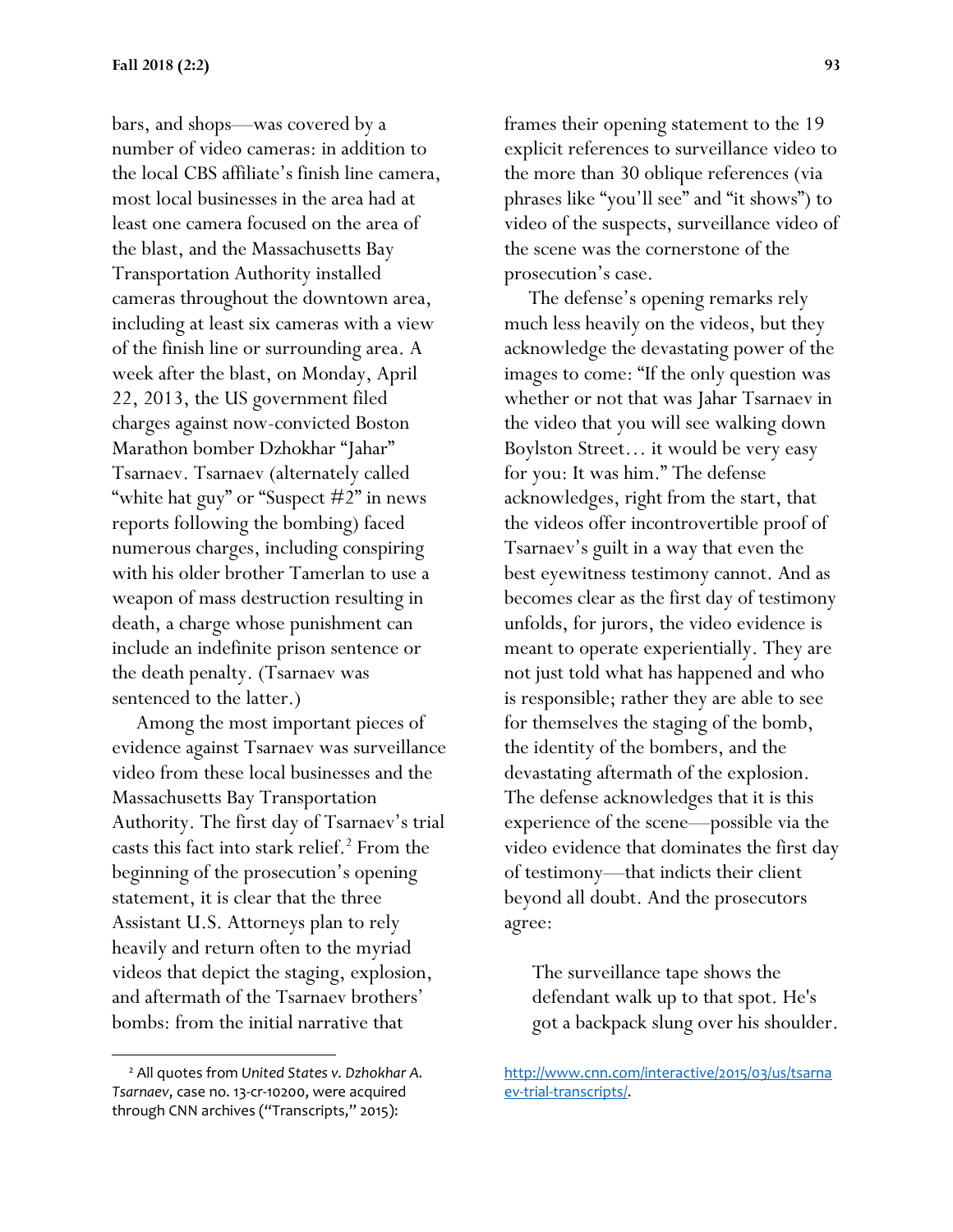bars, and shops—was covered by a number of video cameras: in addition to the local CBS affiliate's finish line camera, most local businesses in the area had at least one camera focused on the area of the blast, and the Massachusetts Bay Transportation Authority installed cameras throughout the downtown area, including at least six cameras with a view of the finish line or surrounding area. A week after the blast, on Monday, April 22, 2013, the US government filed charges against now-convicted Boston Marathon bomber Dzhokhar "Jahar" Tsarnaev. Tsarnaev (alternately called "white hat guy" or "Suspect #2" in news reports following the bombing) faced numerous charges, including conspiring with his older brother Tamerlan to use a weapon of mass destruction resulting in death, a charge whose punishment can include an indefinite prison sentence or the death penalty. (Tsarnaev was sentenced to the latter.)

 Among the most important pieces of evidence against Tsarnaev was surveillance video from these local businesses and the Massachusetts Bay Transportation Authority. The first day of Tsarnaev's trial casts this fact into stark relief.<sup>2</sup> From the beginning of the prosecution's opening statement, it is clear that the three Assistant U.S. Attorneys plan to rely heavily and return often to the myriad videos that depict the staging, explosion, and aftermath of the Tsarnaev brothers' bombs: from the initial narrative that

 $\overline{a}$ 

frames their opening statement to the 19 explicit references to surveillance video to the more than 30 oblique references (via phrases like "you'll see" and "it shows") to video of the suspects, surveillance video of the scene was the cornerstone of the prosecution's case.

 The defense's opening remarks rely much less heavily on the videos, but they acknowledge the devastating power of the images to come: "If the only question was whether or not that was Jahar Tsarnaev in the video that you will see walking down Boylston Street… it would be very easy for you: It was him." The defense acknowledges, right from the start, that the videos offer incontrovertible proof of Tsarnaev's guilt in a way that even the best eyewitness testimony cannot. And as becomes clear as the first day of testimony unfolds, for jurors, the video evidence is meant to operate experientially. They are not just told what has happened and who is responsible; rather they are able to see for themselves the staging of the bomb, the identity of the bombers, and the devastating aftermath of the explosion. The defense acknowledges that it is this experience of the scene—possible via the video evidence that dominates the first day of testimony—that indicts their client beyond all doubt. And the prosecutors agree:

The surveillance tape shows the defendant walk up to that spot. He's got a backpack slung over his shoulder.

<sup>2</sup> All quotes from *United States v. Dzhokhar A. Tsarnaev*, case no. 13-cr-10200, were acquired through CNN archives ("Transcripts," 2015):

[http://www.cnn.com/interactive/2015/03/us/tsarna](http://www.cnn.com/interactive/2015/03/us/tsarnaev-trial-transcripts/) [ev-trial-transcripts/.](http://www.cnn.com/interactive/2015/03/us/tsarnaev-trial-transcripts/)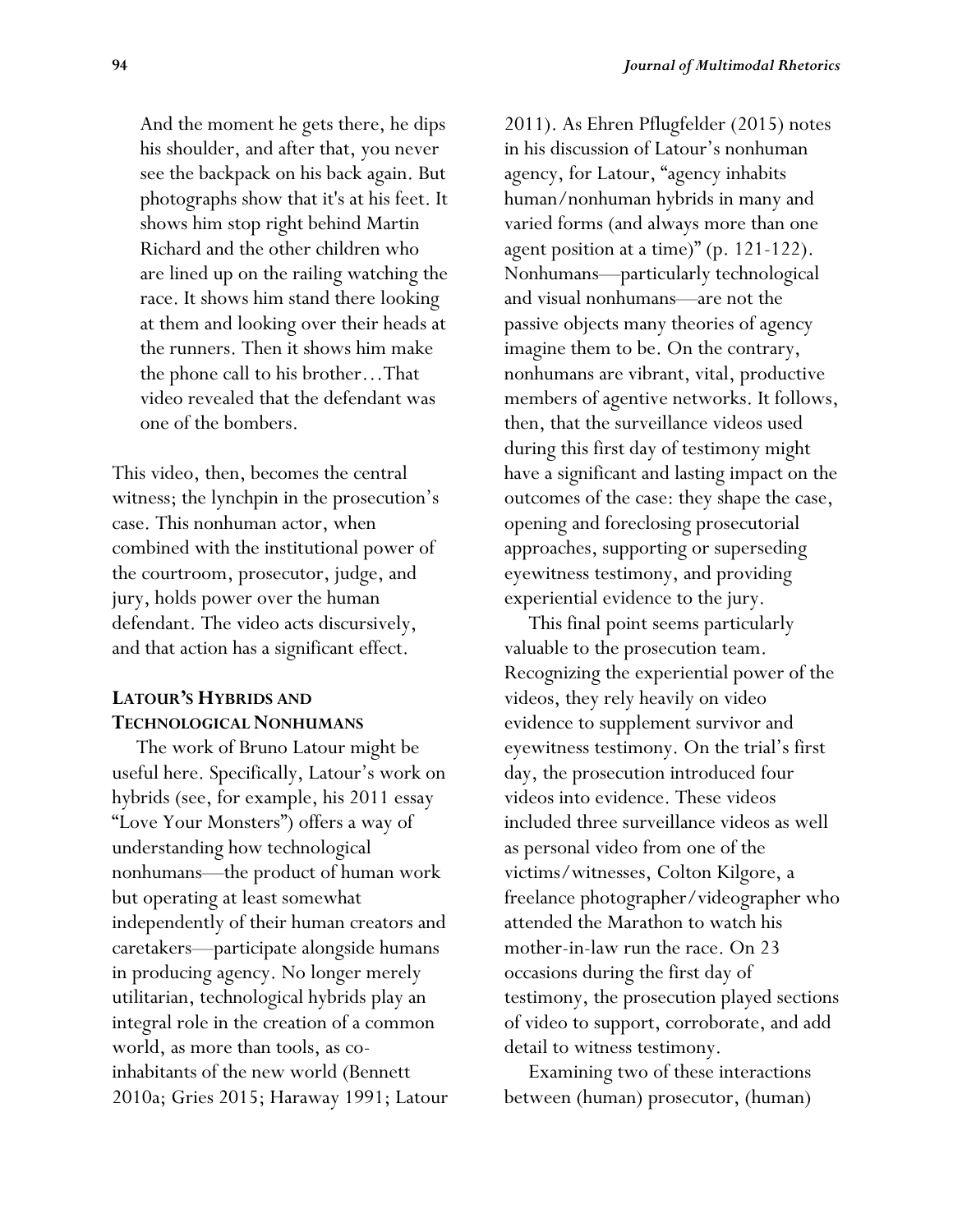And the moment he gets there, he dips his shoulder, and after that, you never see the backpack on his back again. But photographs show that it's at his feet. It shows him stop right behind Martin Richard and the other children who are lined up on the railing watching the race. It shows him stand there looking at them and looking over their heads at the runners. Then it shows him make the phone call to his brother…That video revealed that the defendant was one of the bombers.

This video, then, becomes the central witness; the lynchpin in the prosecution's case. This nonhuman actor, when combined with the institutional power of the courtroom, prosecutor, judge, and jury, holds power over the human defendant. The video acts discursively, and that action has a significant effect.

# **LATOUR'S HYBRIDS AND TECHNOLOGICAL NONHUMANS**

 The work of Bruno Latour might be useful here. Specifically, Latour's work on hybrids (see, for example, his 2011 essay "Love Your Monsters") offers a way of understanding how technological nonhumans—the product of human work but operating at least somewhat independently of their human creators and caretakers—participate alongside humans in producing agency. No longer merely utilitarian, technological hybrids play an integral role in the creation of a common world, as more than tools, as coinhabitants of the new world (Bennett 2010a; Gries 2015; Haraway 1991; Latour 2011). As Ehren Pflugfelder (2015) notes in his discussion of Latour's nonhuman agency, for Latour, "agency inhabits human/nonhuman hybrids in many and varied forms (and always more than one agent position at a time)" (p. 121-122). Nonhumans—particularly technological and visual nonhumans—are not the passive objects many theories of agency imagine them to be. On the contrary, nonhumans are vibrant, vital, productive members of agentive networks. It follows, then, that the surveillance videos used during this first day of testimony might have a significant and lasting impact on the outcomes of the case: they shape the case, opening and foreclosing prosecutorial approaches, supporting or superseding eyewitness testimony, and providing experiential evidence to the jury.

 This final point seems particularly valuable to the prosecution team. Recognizing the experiential power of the videos, they rely heavily on video evidence to supplement survivor and eyewitness testimony. On the trial's first day, the prosecution introduced four videos into evidence. These videos included three surveillance videos as well as personal video from one of the victims/witnesses, Colton Kilgore, a freelance photographer/videographer who attended the Marathon to watch his mother-in-law run the race. On 23 occasions during the first day of testimony, the prosecution played sections of video to support, corroborate, and add detail to witness testimony.

 Examining two of these interactions between (human) prosecutor, (human)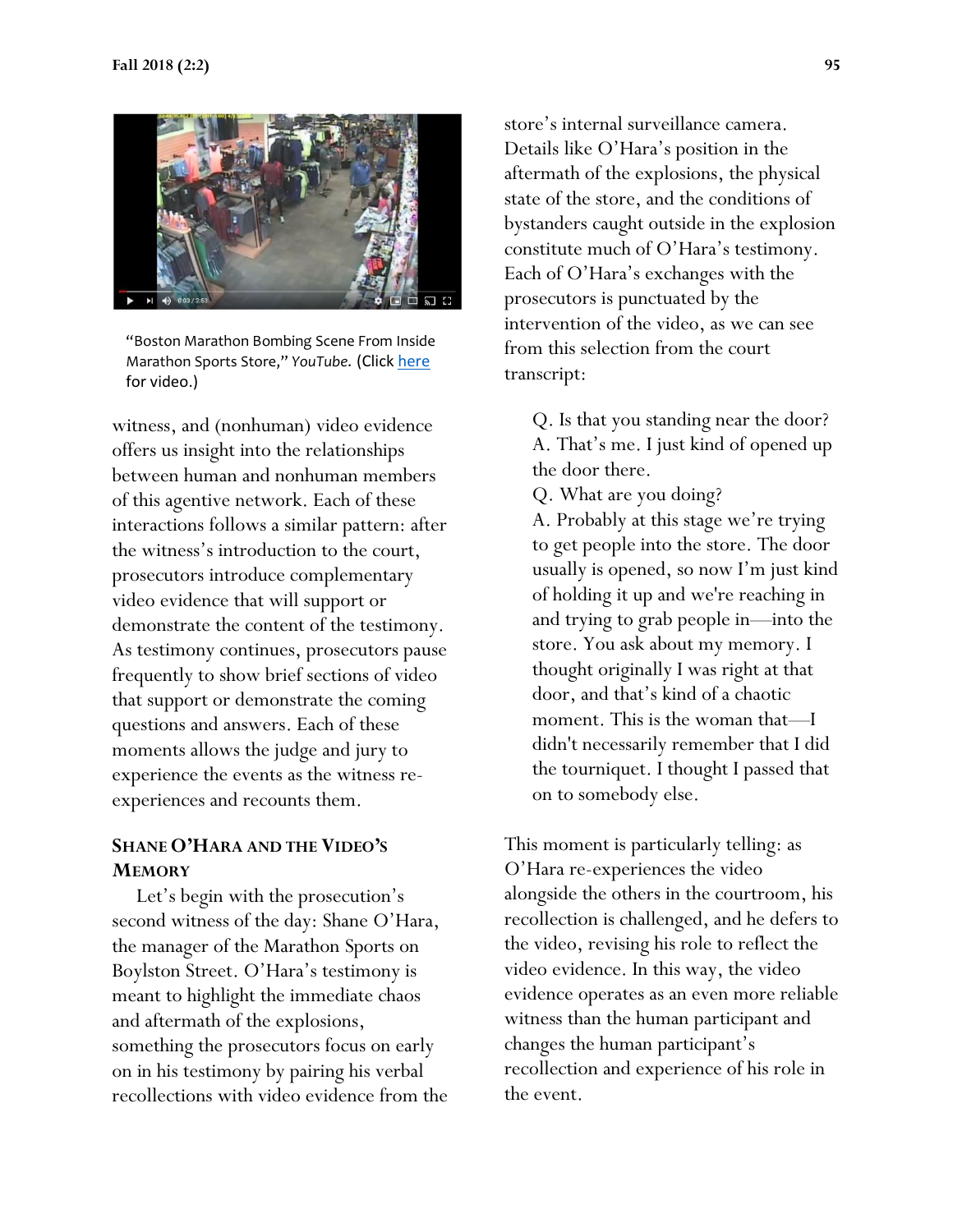

"Boston Marathon Bombing Scene From Inside Marathon Sports Store," *YouTube*. (Clic[k here](https://www.youtube.com/watch?v=w3b2dMlLgMg) for video.)

witness, and (nonhuman) video evidence offers us insight into the relationships between human and nonhuman members of this agentive network. Each of these interactions follows a similar pattern: after the witness's introduction to the court, prosecutors introduce complementary video evidence that will support or demonstrate the content of the testimony. As testimony continues, prosecutors pause frequently to show brief sections of video that support or demonstrate the coming questions and answers. Each of these moments allows the judge and jury to experience the events as the witness reexperiences and recounts them.

#### **SHANE O'HARA AND THE VIDEO'S MEMORY**

 Let's begin with the prosecution's second witness of the day: Shane O'Hara, the manager of the Marathon Sports on Boylston Street. O'Hara's testimony is meant to highlight the immediate chaos and aftermath of the explosions, something the prosecutors focus on early on in his testimony by pairing his verbal recollections with video evidence from the store's internal surveillance camera. Details like O'Hara's position in the aftermath of the explosions, the physical state of the store, and the conditions of bystanders caught outside in the explosion constitute much of O'Hara's testimony. Each of O'Hara's exchanges with the prosecutors is punctuated by the intervention of the video, as we can see from this selection from the court transcript:

- Q. Is that you standing near the door? A. That's me. I just kind of opened up the door there.
- Q. What are you doing?

A. Probably at this stage we're trying to get people into the store. The door usually is opened, so now I'm just kind of holding it up and we're reaching in and trying to grab people in—into the store. You ask about my memory. I thought originally I was right at that door, and that's kind of a chaotic moment. This is the woman that—I didn't necessarily remember that I did the tourniquet. I thought I passed that on to somebody else.

This moment is particularly telling: as O'Hara re-experiences the video alongside the others in the courtroom, his recollection is challenged, and he defers to the video, revising his role to reflect the video evidence. In this way, the video evidence operates as an even more reliable witness than the human participant and changes the human participant's recollection and experience of his role in the event.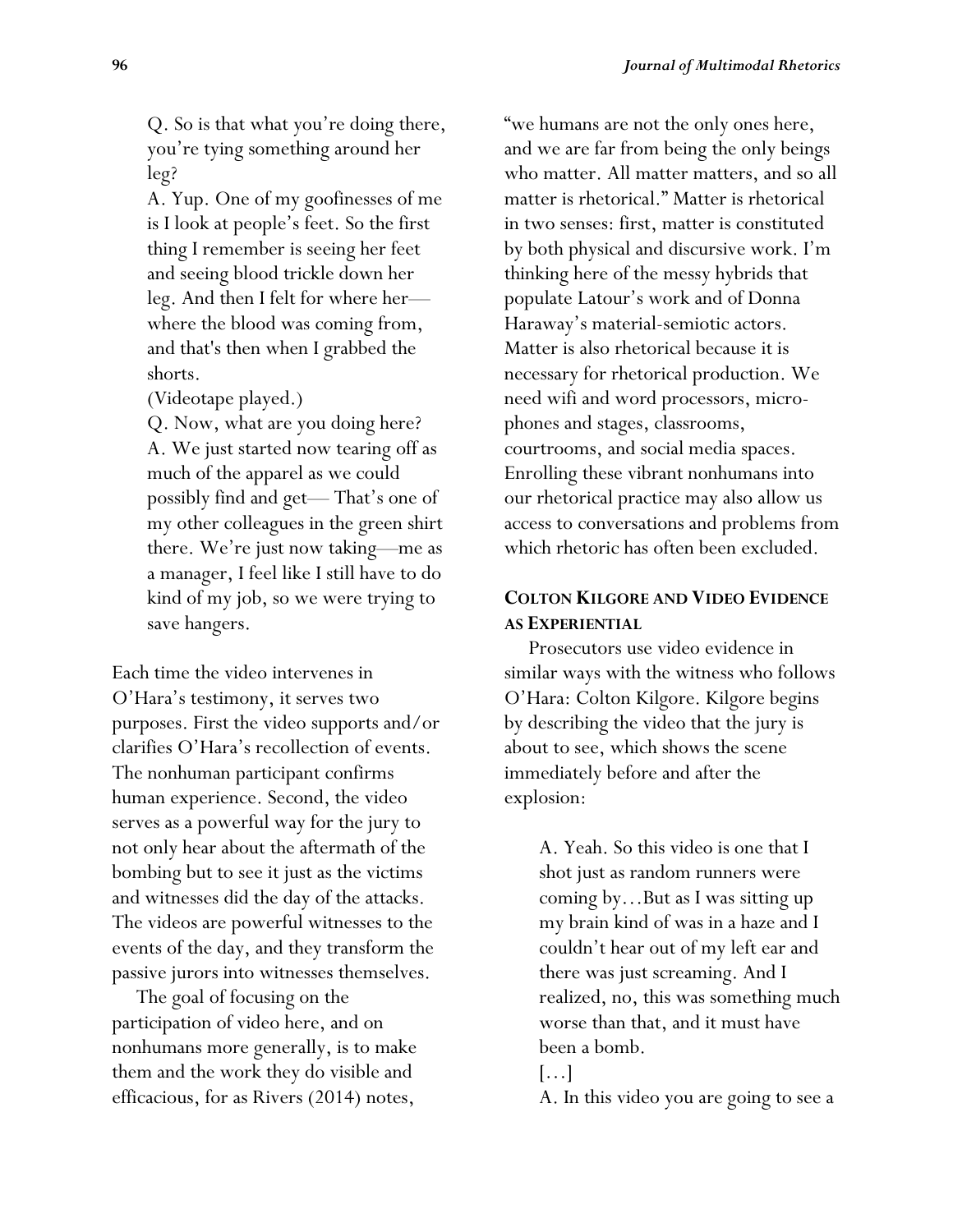Q. So is that what you're doing there, you're tying something around her leg?

A. Yup. One of my goofinesses of me is I look at people's feet. So the first thing I remember is seeing her feet and seeing blood trickle down her leg. And then I felt for where her where the blood was coming from, and that's then when I grabbed the shorts.

(Videotape played.)

Q. Now, what are you doing here? A. We just started now tearing off as much of the apparel as we could possibly find and get— That's one of my other colleagues in the green shirt there. We're just now taking—me as a manager, I feel like I still have to do kind of my job, so we were trying to save hangers.

Each time the video intervenes in O'Hara's testimony, it serves two purposes. First the video supports and/or clarifies O'Hara's recollection of events. The nonhuman participant confirms human experience. Second, the video serves as a powerful way for the jury to not only hear about the aftermath of the bombing but to see it just as the victims and witnesses did the day of the attacks. The videos are powerful witnesses to the events of the day, and they transform the passive jurors into witnesses themselves.

 The goal of focusing on the participation of video here, and on nonhumans more generally, is to make them and the work they do visible and efficacious, for as Rivers (2014) notes,

"we humans are not the only ones here, and we are far from being the only beings who matter. All matter matters, and so all matter is rhetorical." Matter is rhetorical in two senses: first, matter is constituted by both physical and discursive work. I'm thinking here of the messy hybrids that populate Latour's work and of Donna Haraway's material-semiotic actors. Matter is also rhetorical because it is necessary for rhetorical production. We need wifi and word processors, microphones and stages, classrooms, courtrooms, and social media spaces. Enrolling these vibrant nonhumans into our rhetorical practice may also allow us access to conversations and problems from which rhetoric has often been excluded.

#### **COLTON KILGORE AND VIDEO EVIDENCE AS EXPERIENTIAL**

 Prosecutors use video evidence in similar ways with the witness who follows O'Hara: Colton Kilgore. Kilgore begins by describing the video that the jury is about to see, which shows the scene immediately before and after the explosion:

> A. Yeah. So this video is one that I shot just as random runners were coming by…But as I was sitting up my brain kind of was in a haze and I couldn't hear out of my left ear and there was just screaming. And I realized, no, this was something much worse than that, and it must have been a bomb.

A. In this video you are going to see a

<sup>[…]</sup>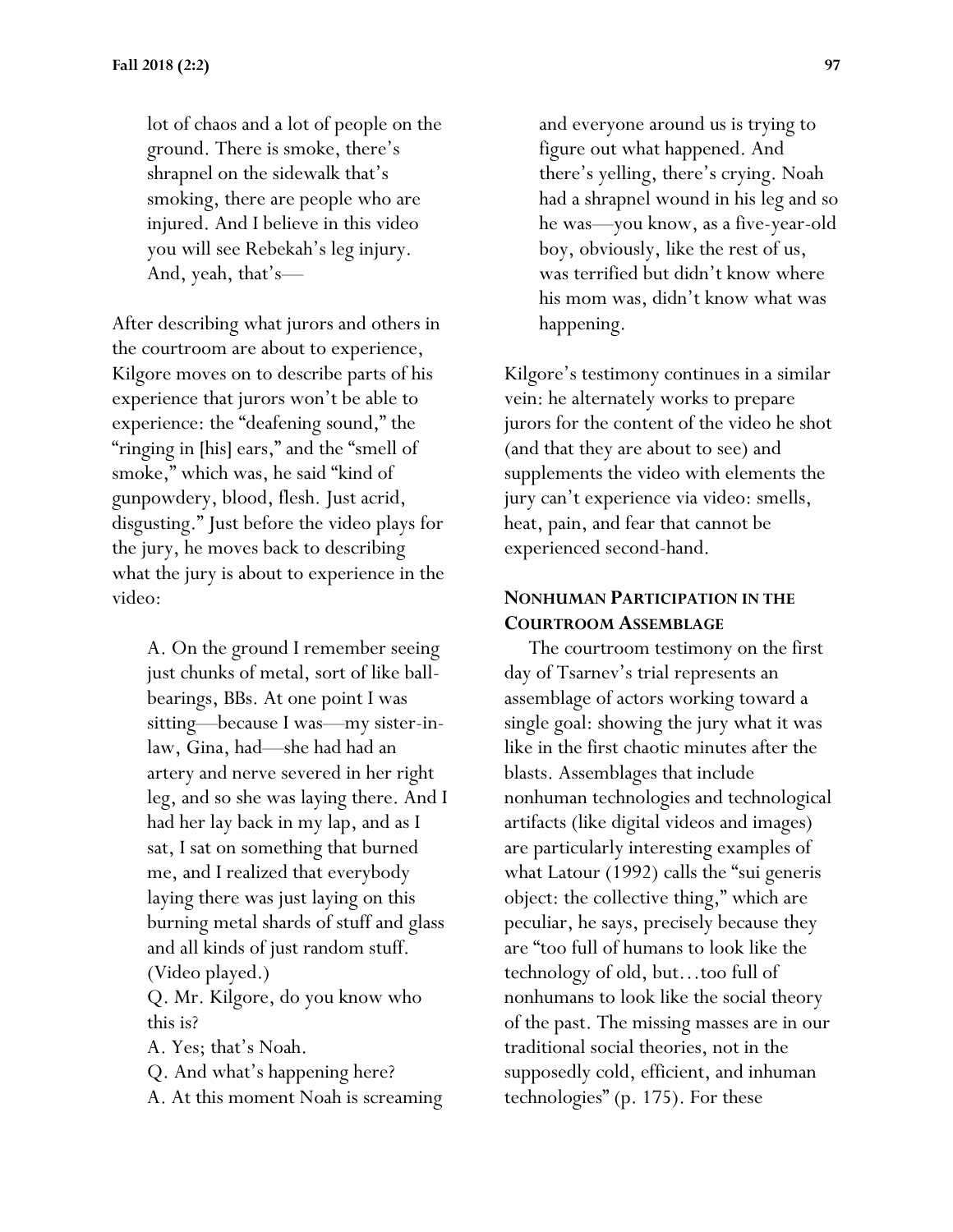lot of chaos and a lot of people on the ground. There is smoke, there's shrapnel on the sidewalk that's smoking, there are people who are injured. And I believe in this video you will see Rebekah's leg injury. And, yeah, that's—

After describing what jurors and others in the courtroom are about to experience, Kilgore moves on to describe parts of his experience that jurors won't be able to experience: the "deafening sound," the "ringing in [his] ears," and the "smell of smoke," which was, he said "kind of gunpowdery, blood, flesh. Just acrid, disgusting." Just before the video plays for the jury, he moves back to describing what the jury is about to experience in the video:

> A. On the ground I remember seeing just chunks of metal, sort of like ballbearings, BBs. At one point I was sitting—because I was—my sister-inlaw, Gina, had—she had had an artery and nerve severed in her right leg, and so she was laying there. And I had her lay back in my lap, and as I sat, I sat on something that burned me, and I realized that everybody laying there was just laying on this burning metal shards of stuff and glass and all kinds of just random stuff. (Video played.)

Q. Mr. Kilgore, do you know who this is?

A. Yes; that's Noah.

Q. And what's happening here?

A. At this moment Noah is screaming

and everyone around us is trying to figure out what happened. And there's yelling, there's crying. Noah had a shrapnel wound in his leg and so he was—you know, as a five-year-old boy, obviously, like the rest of us, was terrified but didn't know where his mom was, didn't know what was happening.

Kilgore's testimony continues in a similar vein: he alternately works to prepare jurors for the content of the video he shot (and that they are about to see) and supplements the video with elements the jury can't experience via video: smells, heat, pain, and fear that cannot be experienced second-hand.

#### **NONHUMAN PARTICIPATION IN THE COURTROOM ASSEMBLAGE**

 The courtroom testimony on the first day of Tsarnev's trial represents an assemblage of actors working toward a single goal: showing the jury what it was like in the first chaotic minutes after the blasts. Assemblages that include nonhuman technologies and technological artifacts (like digital videos and images) are particularly interesting examples of what Latour (1992) calls the "sui generis object: the collective thing," which are peculiar, he says, precisely because they are "too full of humans to look like the technology of old, but…too full of nonhumans to look like the social theory of the past. The missing masses are in our traditional social theories, not in the supposedly cold, efficient, and inhuman technologies" (p. 175). For these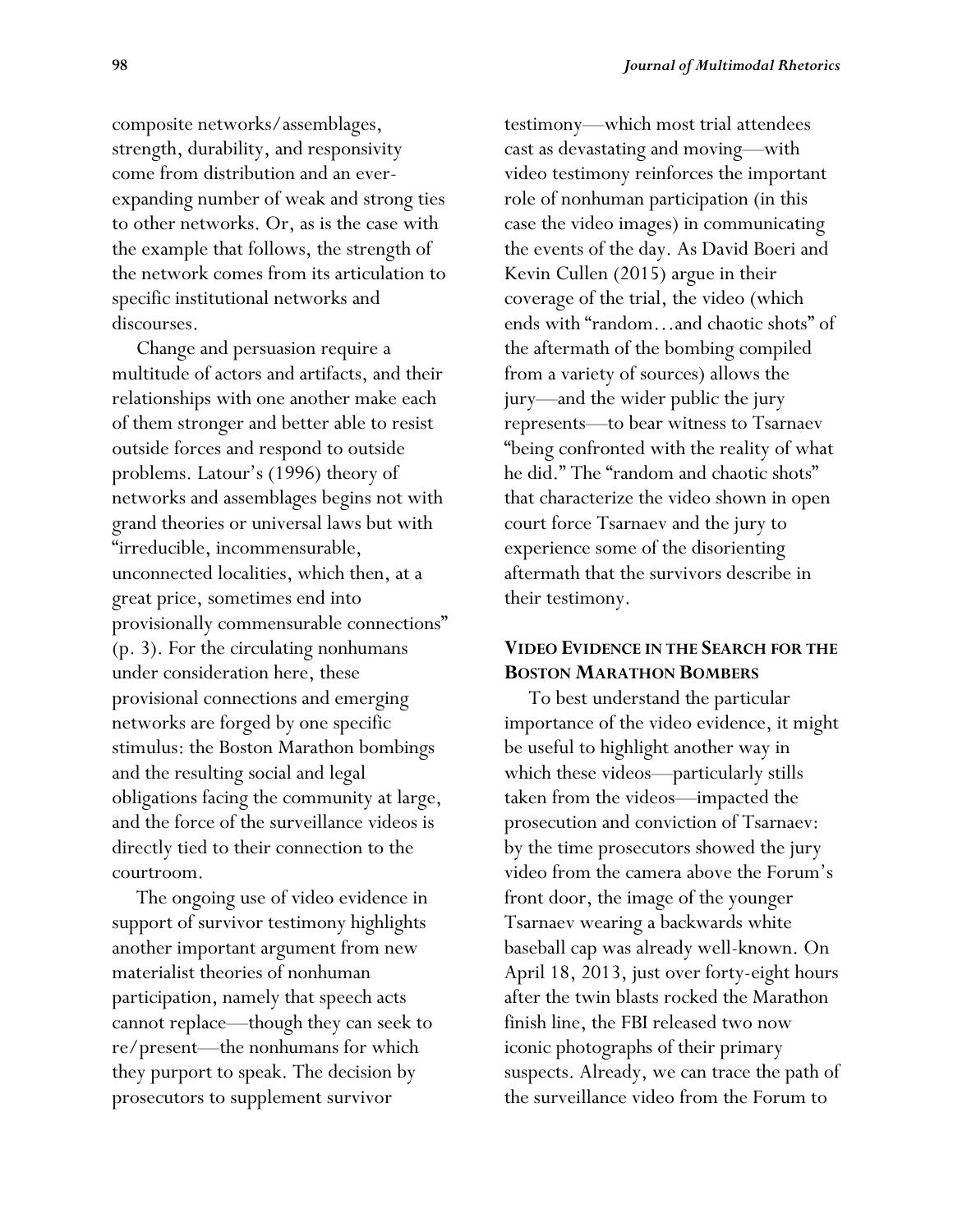composite networks/assemblages, strength, durability, and responsivity come from distribution and an everexpanding number of weak and strong ties to other networks. Or, as is the case with the example that follows, the strength of the network comes from its articulation to specific institutional networks and discourses.

 Change and persuasion require a multitude of actors and artifacts, and their relationships with one another make each of them stronger and better able to resist outside forces and respond to outside problems. Latour's (1996) theory of networks and assemblages begins not with grand theories or universal laws but with "irreducible, incommensurable, unconnected localities, which then, at a great price, sometimes end into provisionally commensurable connections" (p. 3). For the circulating nonhumans under consideration here, these provisional connections and emerging networks are forged by one specific stimulus: the Boston Marathon bombings and the resulting social and legal obligations facing the community at large, and the force of the surveillance videos is directly tied to their connection to the courtroom.

 The ongoing use of video evidence in support of survivor testimony highlights another important argument from new materialist theories of nonhuman participation, namely that speech acts cannot replace—though they can seek to re/present—the nonhumans for which they purport to speak. The decision by prosecutors to supplement survivor

testimony—which most trial attendees cast as devastating and moving—with video testimony reinforces the important role of nonhuman participation (in this case the video images) in communicating the events of the day. As David Boeri and Kevin Cullen (2015) argue in their coverage of the trial, the video (which ends with "random…and chaotic shots" of the aftermath of the bombing compiled from a variety of sources) allows the jury—and the wider public the jury represents—to bear witness to Tsarnaev "being confronted with the reality of what he did." The "random and chaotic shots" that characterize the video shown in open court force Tsarnaev and the jury to experience some of the disorienting aftermath that the survivors describe in their testimony.

#### **VIDEO EVIDENCE IN THE SEARCH FOR THE BOSTON MARATHON BOMBERS**

 To best understand the particular importance of the video evidence, it might be useful to highlight another way in which these videos—particularly stills taken from the videos—impacted the prosecution and conviction of Tsarnaev: by the time prosecutors showed the jury video from the camera above the Forum's front door, the image of the younger Tsarnaev wearing a backwards white baseball cap was already well-known. On April 18, 2013, just over forty-eight hours after the twin blasts rocked the Marathon finish line, the FBI released two now iconic photographs of their primary suspects. Already, we can trace the path of the surveillance video from the Forum to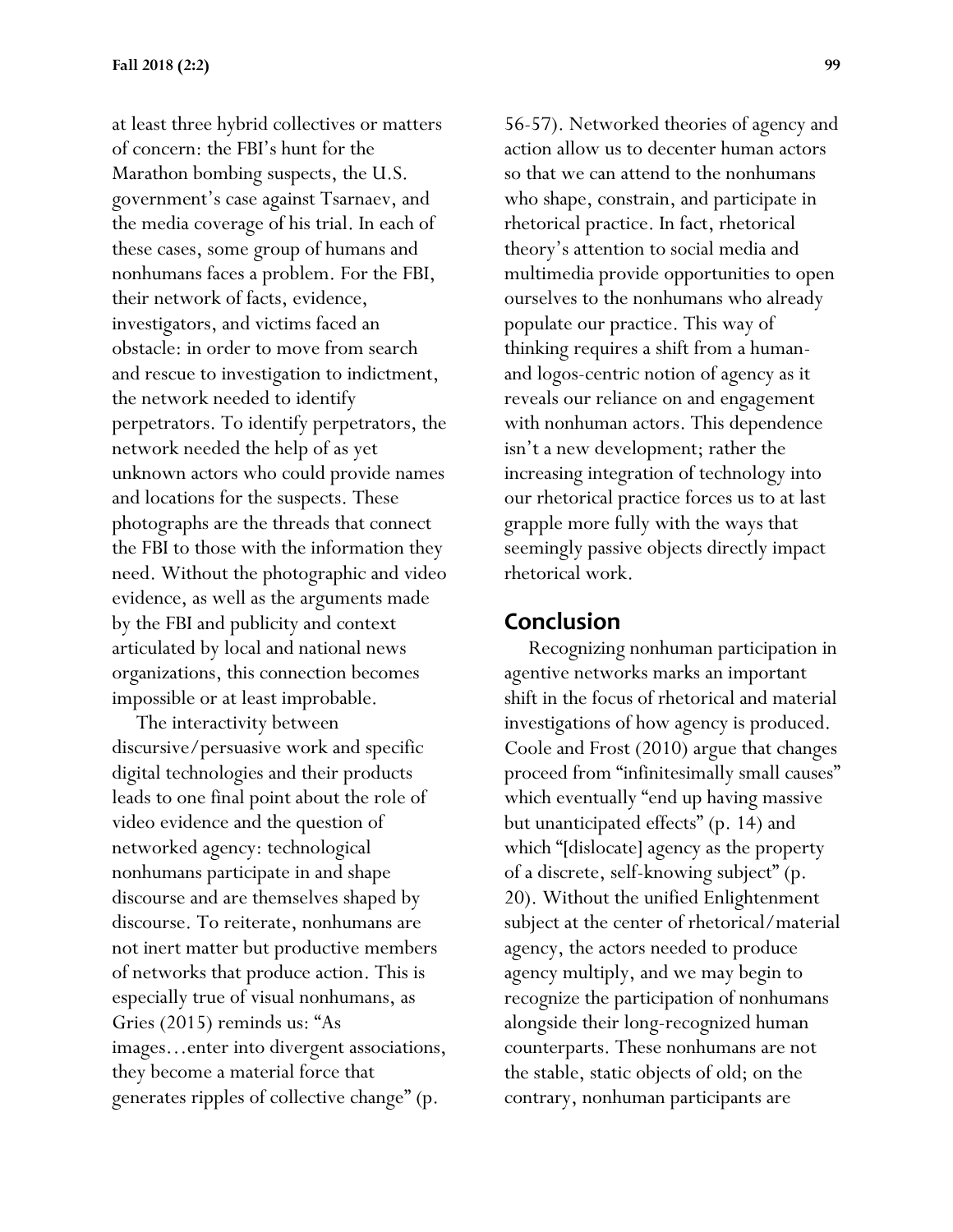at least three hybrid collectives or matters of concern: the FBI's hunt for the Marathon bombing suspects, the U.S. government's case against Tsarnaev, and the media coverage of his trial. In each of these cases, some group of humans and nonhumans faces a problem. For the FBI, their network of facts, evidence, investigators, and victims faced an obstacle: in order to move from search and rescue to investigation to indictment, the network needed to identify perpetrators. To identify perpetrators, the network needed the help of as yet unknown actors who could provide names and locations for the suspects. These photographs are the threads that connect the FBI to those with the information they need. Without the photographic and video evidence, as well as the arguments made by the FBI and publicity and context articulated by local and national news organizations, this connection becomes impossible or at least improbable.

 The interactivity between discursive/persuasive work and specific digital technologies and their products leads to one final point about the role of video evidence and the question of networked agency: technological nonhumans participate in and shape discourse and are themselves shaped by discourse. To reiterate, nonhumans are not inert matter but productive members of networks that produce action. This is especially true of visual nonhumans, as Gries (2015) reminds us: "As images…enter into divergent associations, they become a material force that generates ripples of collective change" (p.

56-57). Networked theories of agency and action allow us to decenter human actors so that we can attend to the nonhumans who shape, constrain, and participate in rhetorical practice. In fact, rhetorical theory's attention to social media and multimedia provide opportunities to open ourselves to the nonhumans who already populate our practice. This way of thinking requires a shift from a humanand logos-centric notion of agency as it reveals our reliance on and engagement with nonhuman actors. This dependence isn't a new development; rather the increasing integration of technology into our rhetorical practice forces us to at last grapple more fully with the ways that seemingly passive objects directly impact rhetorical work.

#### **Conclusion**

 Recognizing nonhuman participation in agentive networks marks an important shift in the focus of rhetorical and material investigations of how agency is produced. Coole and Frost (2010) argue that changes proceed from "infinitesimally small causes" which eventually "end up having massive but unanticipated effects" (p. 14) and which "[dislocate] agency as the property of a discrete, self-knowing subject" (p. 20). Without the unified Enlightenment subject at the center of rhetorical/material agency, the actors needed to produce agency multiply, and we may begin to recognize the participation of nonhumans alongside their long-recognized human counterparts. These nonhumans are not the stable, static objects of old; on the contrary, nonhuman participants are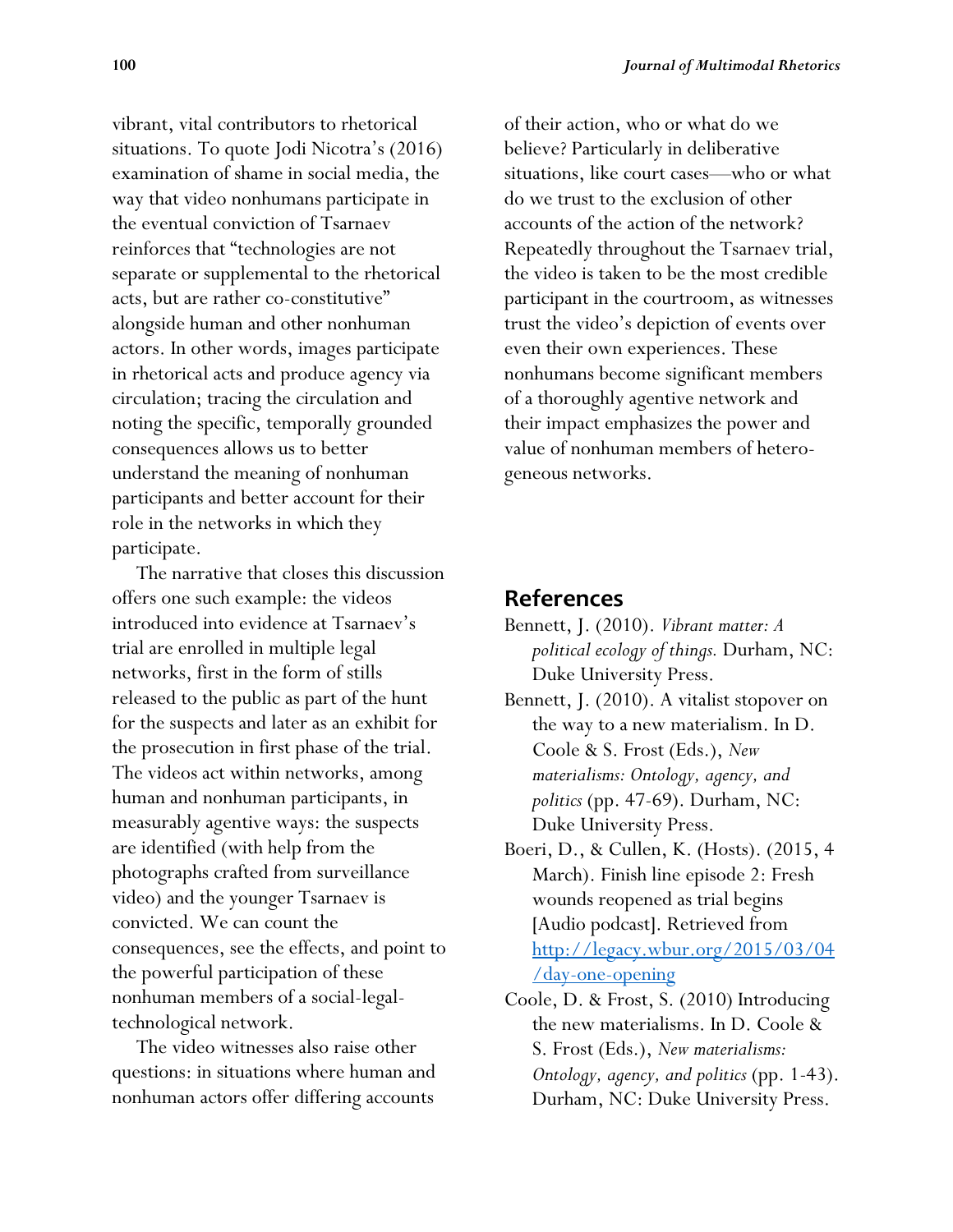vibrant, vital contributors to rhetorical situations. To quote Jodi Nicotra's (2016) examination of shame in social media, the way that video nonhumans participate in the eventual conviction of Tsarnaev reinforces that "technologies are not separate or supplemental to the rhetorical acts, but are rather co-constitutive" alongside human and other nonhuman actors. In other words, images participate in rhetorical acts and produce agency via circulation; tracing the circulation and noting the specific, temporally grounded consequences allows us to better understand the meaning of nonhuman participants and better account for their role in the networks in which they participate.

 The narrative that closes this discussion offers one such example: the videos introduced into evidence at Tsarnaev's trial are enrolled in multiple legal networks, first in the form of stills released to the public as part of the hunt for the suspects and later as an exhibit for the prosecution in first phase of the trial. The videos act within networks, among human and nonhuman participants, in measurably agentive ways: the suspects are identified (with help from the photographs crafted from surveillance video) and the younger Tsarnaev is convicted. We can count the consequences, see the effects, and point to the powerful participation of these nonhuman members of a social-legaltechnological network.

 The video witnesses also raise other questions: in situations where human and nonhuman actors offer differing accounts

of their action, who or what do we believe? Particularly in deliberative situations, like court cases—who or what do we trust to the exclusion of other accounts of the action of the network? Repeatedly throughout the Tsarnaev trial, the video is taken to be the most credible participant in the courtroom, as witnesses trust the video's depiction of events over even their own experiences. These nonhumans become significant members of a thoroughly agentive network and their impact emphasizes the power and value of nonhuman members of heterogeneous networks.

# **References**

- Bennett, J. (2010). *Vibrant matter: A political ecology of things.* Durham, NC: Duke University Press.
- Bennett, J. (2010). A vitalist stopover on the way to a new materialism. In D. Coole & S. Frost (Eds.), *New materialisms: Ontology, agency, and politics* (pp. 47-69). Durham, NC: Duke University Press.
- Boeri, D., & Cullen, K. (Hosts). (2015, 4 March). Finish line episode 2: Fresh wounds reopened as trial begins [Audio podcast]. Retrieved from [http://legacy.wbur.org/2015/03/04](http://legacy.wbur.org/2015/03/04/day-one-opening) [/day-one-opening](http://legacy.wbur.org/2015/03/04/day-one-opening)
- Coole, D. & Frost, S. (2010) Introducing the new materialisms. In D. Coole & S. Frost (Eds.), *New materialisms: Ontology, agency, and politics* (pp. 1-43). Durham, NC: Duke University Press.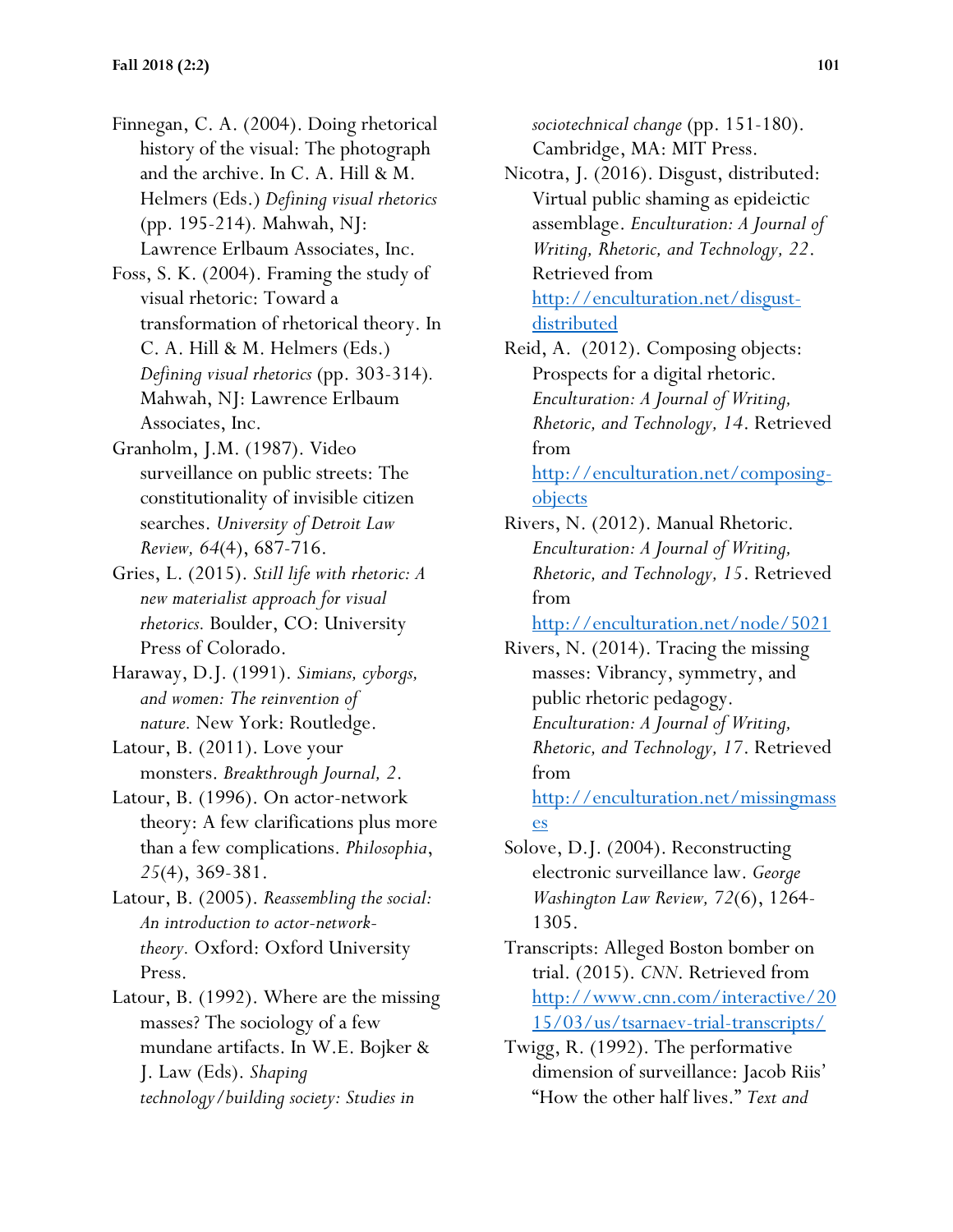Finnegan, C. A. (2004). Doing rhetorical history of the visual: The photograph and the archive. In C. A. Hill & M. Helmers (Eds.) *Defining visual rhetorics* (pp. 195-214)*.* Mahwah, NJ: Lawrence Erlbaum Associates, Inc.

Foss, S. K. (2004). Framing the study of visual rhetoric: Toward a transformation of rhetorical theory. In C. A. Hill & M. Helmers (Eds.) *Defining visual rhetorics* (pp. 303-314)*.* Mahwah, NJ: Lawrence Erlbaum Associates, Inc.

Granholm, J.M. (1987). Video surveillance on public streets: The constitutionality of invisible citizen searches. *University of Detroit Law Review, 64*(4), 687-716.

Gries, L. (2015). *Still life with rhetoric: A new materialist approach for visual rhetorics.* Boulder, CO: University Press of Colorado.

Haraway, D.J. (1991). *Simians, cyborgs, and women: The reinvention of nature.* New York: Routledge.

Latour, B. (2011). Love your monsters. *Breakthrough Journal, 2*.

Latour, B. (1996). On actor-network theory: A few clarifications plus more than a few complications. *Philosophia*, *25*(4), 369-381.

Latour, B. (2005). *Reassembling the social: An introduction to actor-networktheory.* Oxford: Oxford University Press.

Latour, B. (1992). Where are the missing masses? The sociology of a few mundane artifacts. In W.E. Bojker & J. Law (Eds). *Shaping technology/building society: Studies in* 

*sociotechnical change* (pp. 151-180). Cambridge, MA: MIT Press.

Nicotra, J. (2016). Disgust, distributed: Virtual public shaming as epideictic assemblage. *Enculturation: A Journal of Writing, Rhetoric, and Technology, 22*. Retrieved from [http://enculturation.net/disgust](http://enculturation.net/disgust-distributed)[distributed](http://enculturation.net/disgust-distributed)

Reid, A. (2012). Composing objects: Prospects for a digital rhetoric. *Enculturation: A Journal of Writing, Rhetoric, and Technology, 14*. Retrieved from [http://enculturation.net/composing](http://enculturation.net/composing-objects)[objects](http://enculturation.net/composing-objects)

Rivers, N. (2012). Manual Rhetoric. *Enculturation: A Journal of Writing, Rhetoric, and Technology, 15*. Retrieved from

<http://enculturation.net/node/5021>

Rivers, N. (2014). Tracing the missing masses: Vibrancy, symmetry, and public rhetoric pedagogy. *Enculturation: A Journal of Writing, Rhetoric, and Technology, 17*. Retrieved from [http://enculturation.net/missingmass](http://enculturation.net/missingmasses)

[es](http://enculturation.net/missingmasses) Solove, D.J. (2004). Reconstructing

electronic surveillance law. *George Washington Law Review, 72*(6), 1264- 1305.

Transcripts: Alleged Boston bomber on trial. (2015). *CNN*. Retrieved from [http://www.cnn.com/interactive/20](http://www.cnn.com/interactive/2015/03/us/tsarnaev-trial-transcripts/) [15/03/us/tsarnaev-trial-transcripts/](http://www.cnn.com/interactive/2015/03/us/tsarnaev-trial-transcripts/)

Twigg, R. (1992). The performative dimension of surveillance: Jacob Riis' "How the other half lives." *Text and*